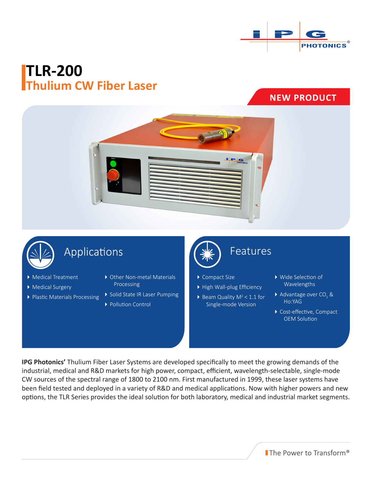

# **TLR-200 Thulium CW Fiber Laser**

**NEW PRODUCT** 





## Applications

- Medical Treatment
- Medical Surgery
- Plastic Materials Processing
- Other Non-metal Materials Processing
- Solid State IR Laser Pumping
- ▶ Pollution Control



### Features

- ▶ Compact Size
- High Wall-plug Efficiency
- $\triangleright$  Beam Quality M<sup>2</sup> < 1.1 for Single-mode Version
- Wide Selection of Wavelengths
- $\blacktriangleright$  Advantage over CO<sub>2</sub> & Ho:YAG
- ▶ Cost-effective, Compact OEM Solution

**IPG Photonics'** Thulium Fiber Laser Systems are developed specifically to meet the growing demands of the industrial, medical and R&D markets for high power, compact, efficient, wavelength-selectable, single-mode CW sources of the spectral range of 1800 to 2100 nm. First manufactured in 1999, these laser systems have been field tested and deployed in a variety of R&D and medical applications. Now with higher powers and new options, the TLR Series provides the ideal solution for both laboratory, medical and industrial market segments.